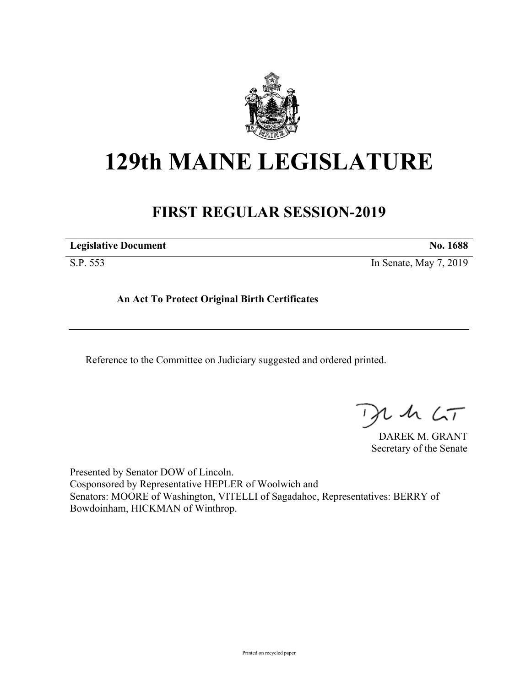

## **129th MAINE LEGISLATURE**

## **FIRST REGULAR SESSION-2019**

**Legislative Document No. 1688**

S.P. 553 In Senate, May 7, 2019

**An Act To Protect Original Birth Certificates**

Reference to the Committee on Judiciary suggested and ordered printed.

, in  $\zeta$ T

DAREK M. GRANT Secretary of the Senate

Presented by Senator DOW of Lincoln. Cosponsored by Representative HEPLER of Woolwich and Senators: MOORE of Washington, VITELLI of Sagadahoc, Representatives: BERRY of Bowdoinham, HICKMAN of Winthrop.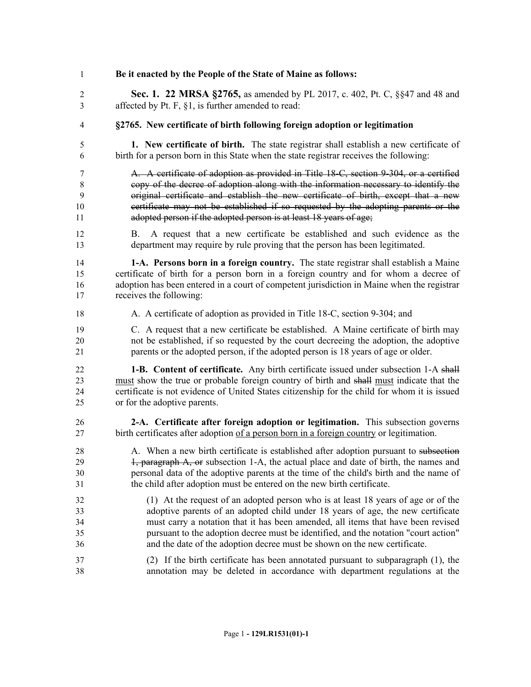| 1              | Be it enacted by the People of the State of Maine as follows:                                                                                                  |
|----------------|----------------------------------------------------------------------------------------------------------------------------------------------------------------|
| $\overline{2}$ | <b>Sec. 1. 22 MRSA §2765, as amended by PL 2017, c. 402, Pt. C, §§47 and 48 and</b>                                                                            |
| 3              | affected by Pt. F, §1, is further amended to read:                                                                                                             |
| 4              | §2765. New certificate of birth following foreign adoption or legitimation                                                                                     |
| 5              | 1. New certificate of birth. The state registrar shall establish a new certificate of                                                                          |
| 6              | birth for a person born in this State when the state registrar receives the following:                                                                         |
| 7              | A. A certificate of adoption as provided in Title 18-C, section 9-304, or a certified                                                                          |
| $\,8\,$        | copy of the decree of adoption along with the information necessary to identify the                                                                            |
| 9              | original certificate and establish the new certificate of birth, except that a new                                                                             |
| 10             | certificate may not be established if so requested by the adopting parents or the                                                                              |
| 11             | adopted person if the adopted person is at least 18 years of age;                                                                                              |
| 12<br>13       | A request that a new certificate be established and such evidence as the<br>Β.<br>department may require by rule proving that the person has been legitimated. |
| 14             | 1-A. Persons born in a foreign country. The state registrar shall establish a Maine                                                                            |
| 15             | certificate of birth for a person born in a foreign country and for whom a decree of                                                                           |
| 16             | adoption has been entered in a court of competent jurisdiction in Maine when the registrar                                                                     |
| 17             | receives the following:                                                                                                                                        |
| 18             | A. A certificate of adoption as provided in Title 18-C, section 9-304; and                                                                                     |
| 19             | C. A request that a new certificate be established. A Maine certificate of birth may                                                                           |
| 20             | not be established, if so requested by the court decreeing the adoption, the adoptive                                                                          |
| 21             | parents or the adopted person, if the adopted person is 18 years of age or older.                                                                              |
| 22             | <b>1-B.</b> Content of certificate. Any birth certificate issued under subsection 1-A shall                                                                    |
| 23             | must show the true or probable foreign country of birth and shall must indicate that the                                                                       |
| 24             | certificate is not evidence of United States citizenship for the child for whom it is issued                                                                   |
| 25             | or for the adoptive parents.                                                                                                                                   |
| 26             | 2-A. Certificate after foreign adoption or legitimation. This subsection governs                                                                               |
| 27             | birth certificates after adoption of a person born in a foreign country or legitimation.                                                                       |
| 28             | A. When a new birth certificate is established after adoption pursuant to subsection                                                                           |
| 29             | 4, paragraph A, or subsection 1-A, the actual place and date of birth, the names and                                                                           |
| 30             | personal data of the adoptive parents at the time of the child's birth and the name of                                                                         |
| 31             | the child after adoption must be entered on the new birth certificate.                                                                                         |
| 32             | (1) At the request of an adopted person who is at least 18 years of age or of the                                                                              |
| 33             | adoptive parents of an adopted child under 18 years of age, the new certificate                                                                                |
| 34             | must carry a notation that it has been amended, all items that have been revised                                                                               |
| 35             | pursuant to the adoption decree must be identified, and the notation "court action"                                                                            |
| 36             | and the date of the adoption decree must be shown on the new certificate.                                                                                      |
| 37             | (2) If the birth certificate has been annotated pursuant to subparagraph (1), the                                                                              |
| 38             | annotation may be deleted in accordance with department regulations at the                                                                                     |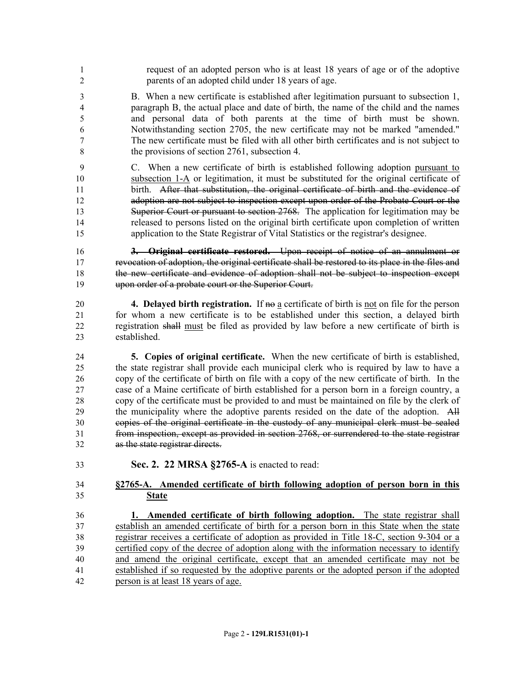- request of an adopted person who is at least 18 years of age or of the adoptive parents of an adopted child under 18 years of age.
- B. When a new certificate is established after legitimation pursuant to subsection 1, paragraph B, the actual place and date of birth, the name of the child and the names and personal data of both parents at the time of birth must be shown. Notwithstanding section 2705, the new certificate may not be marked "amended." The new certificate must be filed with all other birth certificates and is not subject to the provisions of section 2761, subsection 4.
- C. When a new certificate of birth is established following adoption pursuant to subsection 1-A or legitimation, it must be substituted for the original certificate of birth. After that substitution, the original certificate of birth and the evidence of adoption are not subject to inspection except upon order of the Probate Court or the 13 Superior Court or pursuant to section 2768. The application for legitimation may be released to persons listed on the original birth certificate upon completion of written application to the State Registrar of Vital Statistics or the registrar's designee.

 **3. Original certificate restored.** Upon receipt of notice of an annulment or revocation of adoption, the original certificate shall be restored to its place in the files and the new certificate and evidence of adoption shall not be subject to inspection except upon order of a probate court or the Superior Court.

- **4. Delayed birth registration.** If no a certificate of birth is not on file for the person for whom a new certificate is to be established under this section, a delayed birth registration shall must be filed as provided by law before a new certificate of birth is established.
- **5. Copies of original certificate.** When the new certificate of birth is established, the state registrar shall provide each municipal clerk who is required by law to have a copy of the certificate of birth on file with a copy of the new certificate of birth. In the case of a Maine certificate of birth established for a person born in a foreign country, a copy of the certificate must be provided to and must be maintained on file by the clerk of the municipality where the adoptive parents resided on the date of the adoption. All copies of the original certificate in the custody of any municipal clerk must be sealed from inspection, except as provided in section 2768, or surrendered to the state registrar as the state registrar directs.
- **Sec. 2. 22 MRSA §2765-A** is enacted to read:
- **§2765-A. Amended certificate of birth following adoption of person born in this State**

 **1. Amended certificate of birth following adoption.** The state registrar shall establish an amended certificate of birth for a person born in this State when the state registrar receives a certificate of adoption as provided in Title 18-C, section 9-304 or a certified copy of the decree of adoption along with the information necessary to identify and amend the original certificate, except that an amended certificate may not be established if so requested by the adoptive parents or the adopted person if the adopted person is at least 18 years of age.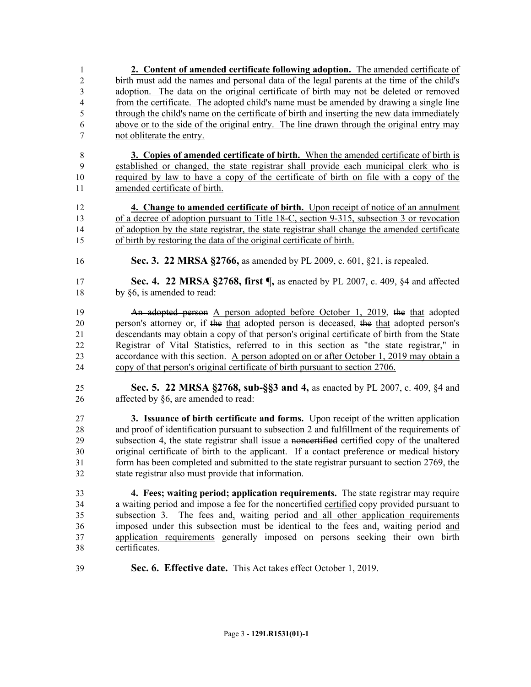**2. Content of amended certificate following adoption.** The amended certificate of birth must add the names and personal data of the legal parents at the time of the child's adoption. The data on the original certificate of birth may not be deleted or removed from the certificate. The adopted child's name must be amended by drawing a single line through the child's name on the certificate of birth and inserting the new data immediately above or to the side of the original entry. The line drawn through the original entry may not obliterate the entry.

 **3. Copies of amended certificate of birth.** When the amended certificate of birth is established or changed, the state registrar shall provide each municipal clerk who is required by law to have a copy of the certificate of birth on file with a copy of the amended certificate of birth.

 **4. Change to amended certificate of birth.** Upon receipt of notice of an annulment of a decree of adoption pursuant to Title 18-C, section 9-315, subsection 3 or revocation of adoption by the state registrar, the state registrar shall change the amended certificate of birth by restoring the data of the original certificate of birth.

- **Sec. 3. 22 MRSA §2766,** as amended by PL 2009, c. 601, §21, is repealed.
- **Sec. 4. 22 MRSA §2768, first ¶,** as enacted by PL 2007, c. 409, §4 and affected 18 by §6, is amended to read:

**An adopted person A person adopted before October 1, 2019, the that adopted**  person's attorney or, if the that adopted person is deceased, the that adopted person's descendants may obtain a copy of that person's original certificate of birth from the State Registrar of Vital Statistics, referred to in this section as "the state registrar," in accordance with this section. A person adopted on or after October 1, 2019 may obtain a copy of that person's original certificate of birth pursuant to section 2706.

 **Sec. 5. 22 MRSA §2768, sub-§§3 and 4,** as enacted by PL 2007, c. 409, §4 and affected by §6, are amended to read:

 **3. Issuance of birth certificate and forms.** Upon receipt of the written application and proof of identification pursuant to subsection 2 and fulfillment of the requirements of subsection 4, the state registrar shall issue a noncertified certified copy of the unaltered original certificate of birth to the applicant. If a contact preference or medical history form has been completed and submitted to the state registrar pursuant to section 2769, the state registrar also must provide that information.

 **4. Fees; waiting period; application requirements.** The state registrar may require 34 a waiting period and impose a fee for the noncertified certified copy provided pursuant to subsection 3. The fees and, waiting period and all other application requirements imposed under this subsection must be identical to the fees and, waiting period and application requirements generally imposed on persons seeking their own birth certificates.

**Sec. 6. Effective date.** This Act takes effect October 1, 2019.